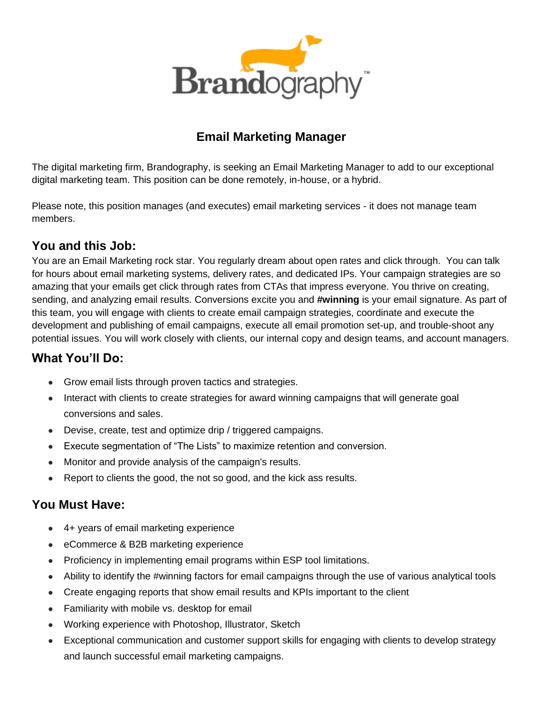

### **Email Marketing Manager**

The digital marketing firm, Brandography, is seeking an Email Marketing Manager to add to our exceptional digital marketing team. This position can be done remotely, in-house, or a hybrid.

Please note, this position manages (and executes) email marketing services - it does not manage team members.

#### **You and this Job:**

You are an Email Marketing rock star. You regularly dream about open rates and click through. You can talk for hours about email marketing systems, delivery rates, and dedicated IPs. Your campaign strategies are so amazing that your emails get click through rates from CTAs that impress everyone. You thrive on creating, sending, and analyzing email results. Conversions excite you and **#winning** is your email signature. As part of this team, you will engage with clients to create email campaign strategies, coordinate and execute the development and publishing of email campaigns, execute all email promotion set-up, and trouble-shoot any potential issues. You will work closely with clients, our internal copy and design teams, and account managers.

### **What You'll Do:**

- Grow email lists through proven tactics and strategies.
- Interact with clients to create strategies for award winning campaigns that will generate goal conversions and sales.
- Devise, create, test and optimize drip / triggered campaigns.
- Execute segmentation of "The Lists" to maximize retention and conversion.
- Monitor and provide analysis of the campaign's results.
- Report to clients the good, the not so good, and the kick ass results.

#### **You Must Have:**

- 4+ years of email marketing experience
- eCommerce & B2B marketing experience
- Proficiency in implementing email programs within ESP tool limitations.
- Ability to identify the #winning factors for email campaigns through the use of various analytical tools
- Create engaging reports that show email results and KPIs important to the client
- Familiarity with mobile vs. desktop for email
- Working experience with Photoshop, Illustrator, Sketch
- Exceptional communication and customer support skills for engaging with clients to develop strategy and launch successful email marketing campaigns.